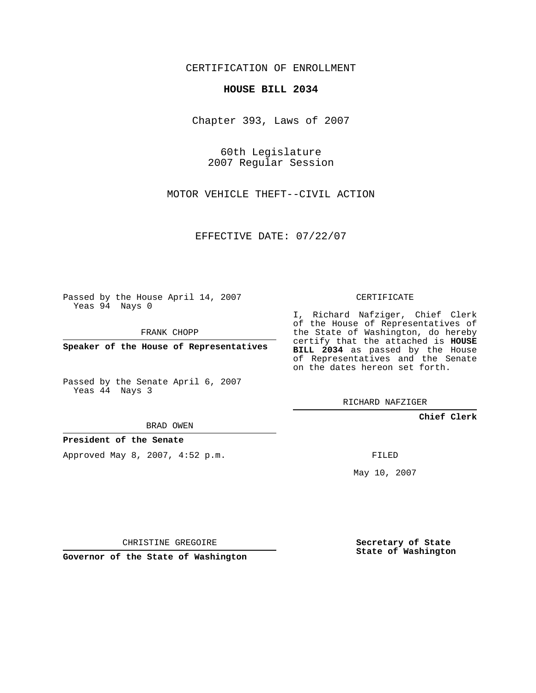CERTIFICATION OF ENROLLMENT

## **HOUSE BILL 2034**

Chapter 393, Laws of 2007

60th Legislature 2007 Regular Session

MOTOR VEHICLE THEFT--CIVIL ACTION

EFFECTIVE DATE: 07/22/07

Passed by the House April 14, 2007 Yeas 94 Nays 0

FRANK CHOPP

**Speaker of the House of Representatives**

Passed by the Senate April 6, 2007 Yeas 44 Nays 3

BRAD OWEN

**President of the Senate**

Approved May 8, 2007, 4:52 p.m.

CERTIFICATE

I, Richard Nafziger, Chief Clerk of the House of Representatives of the State of Washington, do hereby certify that the attached is **HOUSE BILL 2034** as passed by the House of Representatives and the Senate on the dates hereon set forth.

RICHARD NAFZIGER

**Chief Clerk**

FILED

May 10, 2007

**Secretary of State State of Washington**

CHRISTINE GREGOIRE

**Governor of the State of Washington**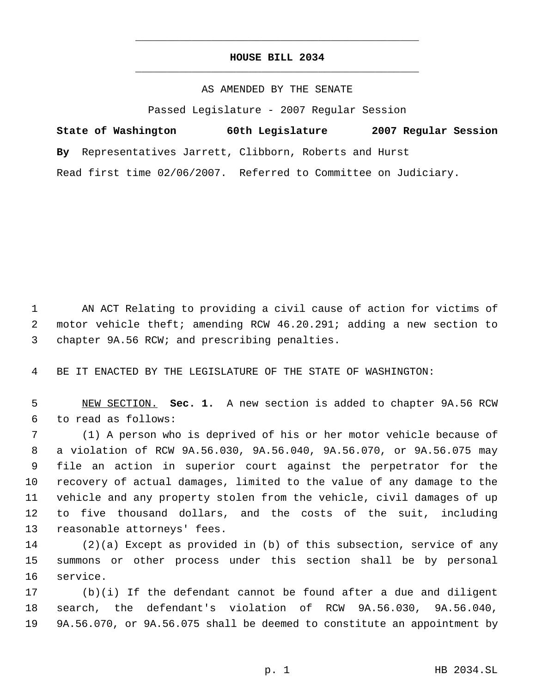## **HOUSE BILL 2034** \_\_\_\_\_\_\_\_\_\_\_\_\_\_\_\_\_\_\_\_\_\_\_\_\_\_\_\_\_\_\_\_\_\_\_\_\_\_\_\_\_\_\_\_\_

\_\_\_\_\_\_\_\_\_\_\_\_\_\_\_\_\_\_\_\_\_\_\_\_\_\_\_\_\_\_\_\_\_\_\_\_\_\_\_\_\_\_\_\_\_

AS AMENDED BY THE SENATE

Passed Legislature - 2007 Regular Session

**State of Washington 60th Legislature 2007 Regular Session By** Representatives Jarrett, Clibborn, Roberts and Hurst Read first time 02/06/2007. Referred to Committee on Judiciary.

 AN ACT Relating to providing a civil cause of action for victims of motor vehicle theft; amending RCW 46.20.291; adding a new section to chapter 9A.56 RCW; and prescribing penalties.

BE IT ENACTED BY THE LEGISLATURE OF THE STATE OF WASHINGTON:

 NEW SECTION. **Sec. 1.** A new section is added to chapter 9A.56 RCW to read as follows:

 (1) A person who is deprived of his or her motor vehicle because of a violation of RCW 9A.56.030, 9A.56.040, 9A.56.070, or 9A.56.075 may file an action in superior court against the perpetrator for the recovery of actual damages, limited to the value of any damage to the vehicle and any property stolen from the vehicle, civil damages of up to five thousand dollars, and the costs of the suit, including reasonable attorneys' fees.

 (2)(a) Except as provided in (b) of this subsection, service of any summons or other process under this section shall be by personal service.

 (b)(i) If the defendant cannot be found after a due and diligent search, the defendant's violation of RCW 9A.56.030, 9A.56.040, 9A.56.070, or 9A.56.075 shall be deemed to constitute an appointment by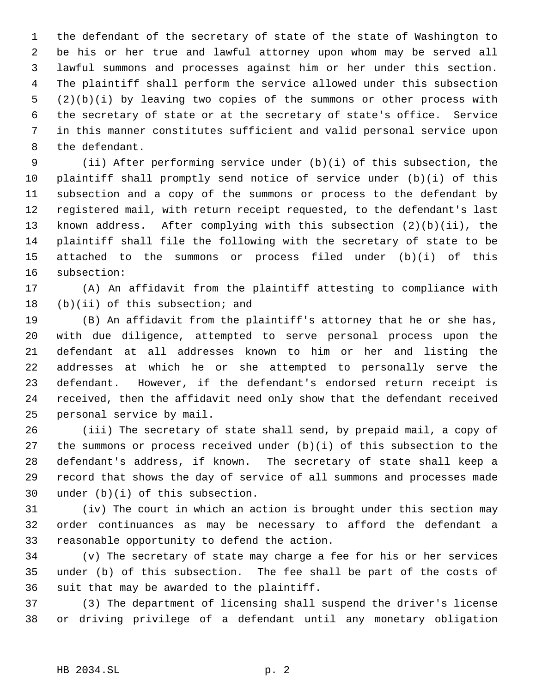the defendant of the secretary of state of the state of Washington to be his or her true and lawful attorney upon whom may be served all lawful summons and processes against him or her under this section. The plaintiff shall perform the service allowed under this subsection (2)(b)(i) by leaving two copies of the summons or other process with the secretary of state or at the secretary of state's office. Service in this manner constitutes sufficient and valid personal service upon the defendant.

 (ii) After performing service under (b)(i) of this subsection, the plaintiff shall promptly send notice of service under (b)(i) of this subsection and a copy of the summons or process to the defendant by registered mail, with return receipt requested, to the defendant's last known address. After complying with this subsection (2)(b)(ii), the plaintiff shall file the following with the secretary of state to be attached to the summons or process filed under (b)(i) of this subsection:

 (A) An affidavit from the plaintiff attesting to compliance with (b)(ii) of this subsection; and

 (B) An affidavit from the plaintiff's attorney that he or she has, with due diligence, attempted to serve personal process upon the defendant at all addresses known to him or her and listing the addresses at which he or she attempted to personally serve the defendant. However, if the defendant's endorsed return receipt is received, then the affidavit need only show that the defendant received personal service by mail.

 (iii) The secretary of state shall send, by prepaid mail, a copy of 27 the summons or process received under  $(b)(i)$  of this subsection to the defendant's address, if known. The secretary of state shall keep a record that shows the day of service of all summons and processes made under (b)(i) of this subsection.

 (iv) The court in which an action is brought under this section may order continuances as may be necessary to afford the defendant a reasonable opportunity to defend the action.

 (v) The secretary of state may charge a fee for his or her services under (b) of this subsection. The fee shall be part of the costs of suit that may be awarded to the plaintiff.

 (3) The department of licensing shall suspend the driver's license or driving privilege of a defendant until any monetary obligation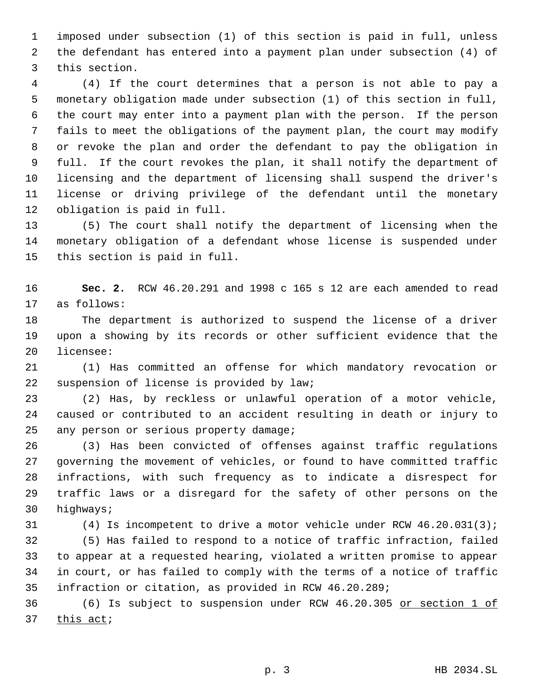imposed under subsection (1) of this section is paid in full, unless the defendant has entered into a payment plan under subsection (4) of this section.

 (4) If the court determines that a person is not able to pay a monetary obligation made under subsection (1) of this section in full, the court may enter into a payment plan with the person. If the person fails to meet the obligations of the payment plan, the court may modify or revoke the plan and order the defendant to pay the obligation in full. If the court revokes the plan, it shall notify the department of licensing and the department of licensing shall suspend the driver's license or driving privilege of the defendant until the monetary obligation is paid in full.

 (5) The court shall notify the department of licensing when the monetary obligation of a defendant whose license is suspended under this section is paid in full.

 **Sec. 2.** RCW 46.20.291 and 1998 c 165 s 12 are each amended to read as follows:

 The department is authorized to suspend the license of a driver upon a showing by its records or other sufficient evidence that the licensee:

 (1) Has committed an offense for which mandatory revocation or suspension of license is provided by law;

 (2) Has, by reckless or unlawful operation of a motor vehicle, caused or contributed to an accident resulting in death or injury to any person or serious property damage;

 (3) Has been convicted of offenses against traffic regulations governing the movement of vehicles, or found to have committed traffic infractions, with such frequency as to indicate a disrespect for traffic laws or a disregard for the safety of other persons on the highways;

(4) Is incompetent to drive a motor vehicle under RCW 46.20.031(3);

 (5) Has failed to respond to a notice of traffic infraction, failed to appear at a requested hearing, violated a written promise to appear in court, or has failed to comply with the terms of a notice of traffic infraction or citation, as provided in RCW 46.20.289;

 (6) Is subject to suspension under RCW 46.20.305 or section 1 of this act;